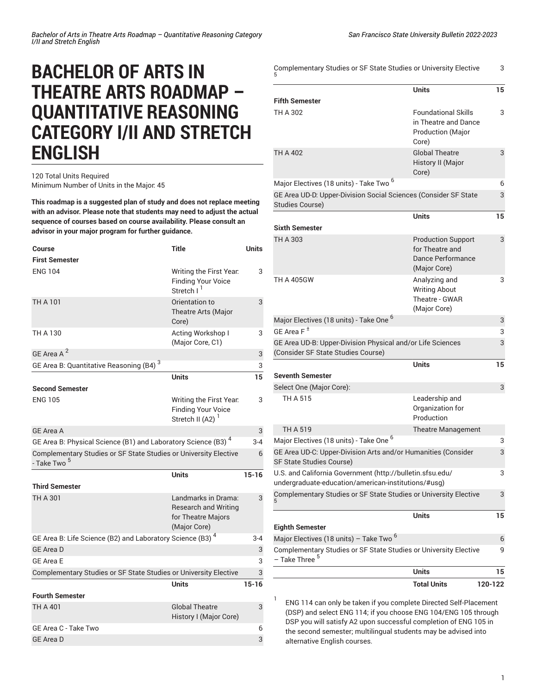## **BACHELOR OF ARTS IN THEATRE ARTS ROADMAP – QUANTITATIVE REASONING CATEGORY I/II AND STRETCH ENGLISH**

## 120 Total Units Required Minimum Number of Units in the Major: 45

**This roadmap is a suggested plan of study and does not replace meeting with an advisor. Please note that students may need to adjust the actual sequence of courses based on course availability. Please consult an advisor in your major program for further guidance.**

| Course                                                                                      | <b>Title</b>                                                                             | <b>Units</b> |
|---------------------------------------------------------------------------------------------|------------------------------------------------------------------------------------------|--------------|
| <b>First Semester</b>                                                                       |                                                                                          |              |
| <b>ENG 104</b>                                                                              | Writing the First Year.<br><b>Finding Your Voice</b><br>Stretch I                        | 3            |
| <b>TH A 101</b>                                                                             | Orientation to<br>Theatre Arts (Major<br>Core)                                           | 3            |
| TH A 130                                                                                    | Acting Workshop I<br>(Major Core, C1)                                                    | 3            |
| GE Area A <sup>2</sup>                                                                      |                                                                                          | 3            |
| GE Area B: Quantitative Reasoning (B4) <sup>3</sup>                                         |                                                                                          | 3            |
| <b>Second Semester</b>                                                                      | <b>Units</b>                                                                             | 15           |
| <b>ENG 105</b>                                                                              | Writing the First Year.<br><b>Finding Your Voice</b><br>Stretch II (A2) <sup>1</sup>     | 3            |
| <b>GE Area A</b>                                                                            |                                                                                          | 3            |
| GE Area B: Physical Science (B1) and Laboratory Science (B3) <sup>4</sup>                   |                                                                                          | $3 - 4$      |
| Complementary Studies or SF State Studies or University Elective<br>- Take Two <sup>5</sup> |                                                                                          | 6            |
|                                                                                             | Units                                                                                    | $15 - 16$    |
| <b>Third Semester</b>                                                                       |                                                                                          |              |
| TH A 301                                                                                    | Landmarks in Drama:<br><b>Research and Writing</b><br>for Theatre Majors<br>(Major Core) | 3            |
| GE Area B: Life Science (B2) and Laboratory Science (B3) <sup>4</sup>                       |                                                                                          | $3 - 4$      |
| <b>GE Area D</b>                                                                            |                                                                                          | 3            |
| <b>GE Area E</b>                                                                            |                                                                                          | 3            |
| Complementary Studies or SF State Studies or University Elective                            |                                                                                          | 3            |
|                                                                                             | <b>Units</b>                                                                             | $15-16$      |
| <b>Fourth Semester</b>                                                                      |                                                                                          |              |
| <b>TH A 401</b>                                                                             | <b>Global Theatre</b><br>History I (Major Core)                                          | 3            |
| GE Area C - Take Two                                                                        |                                                                                          | 6            |
| <b>GE Area D</b>                                                                            |                                                                                          | 3            |

|                                                                                                                  | <b>Units</b>                                                            | 15     |
|------------------------------------------------------------------------------------------------------------------|-------------------------------------------------------------------------|--------|
| Complementary Studies or SF State Studies or University Elective<br>– Take Three <sup>5</sup>                    |                                                                         | 9      |
| Major Electives (18 units) - Take Two <sup>6</sup>                                                               |                                                                         | 6      |
| <b>Eighth Semester</b>                                                                                           |                                                                         |        |
|                                                                                                                  | Units                                                                   | 15     |
| Complementary Studies or SF State Studies or University Elective                                                 |                                                                         | 3      |
| U.S. and California Government (http://bulletin.sfsu.edu/<br>undergraduate-education/american-institutions/#usg) |                                                                         | 3      |
| GE Area UD-C: Upper-Division Arts and/or Humanities (Consider<br>SF State Studies Course)                        |                                                                         | 3      |
| Major Electives (18 units) - Take One <sup>6</sup>                                                               |                                                                         | 3      |
| TH A 519                                                                                                         | Theatre Management                                                      |        |
|                                                                                                                  | Organization for<br>Production                                          |        |
| Select One (Major Core):<br>TH A 515                                                                             | Leadership and                                                          |        |
|                                                                                                                  |                                                                         | 3      |
| Seventh Semester                                                                                                 | <b>Units</b>                                                            | 15     |
| (Consider SF State Studies Course)                                                                               |                                                                         |        |
| GE Area UD-B: Upper-Division Physical and/or Life Sciences                                                       |                                                                         | 3      |
| GE Area F $^{\pm}$                                                                                               |                                                                         | 3      |
| Major Electives (18 units) - Take One <sup>6</sup>                                                               |                                                                         | 3      |
| <b>TH A 405GW</b>                                                                                                | Analyzing and<br><b>Writing About</b><br>Theatre - GWAR<br>(Major Core) | 3      |
|                                                                                                                  | for Theatre and<br>Dance Performance<br>(Major Core)                    |        |
| TH A 303                                                                                                         | <b>Production Support</b>                                               | 3      |
| <b>Sixth Semester</b>                                                                                            | <b>Units</b>                                                            | 15     |
| <b>Studies Course)</b>                                                                                           |                                                                         |        |
| GE Area UD-D: Upper-Division Social Sciences (Consider SF State                                                  |                                                                         | 6<br>3 |
| Major Electives (18 units) - Take Two <sup>6</sup>                                                               | History II (Major<br>Core)                                              |        |
| <b>TH A 402</b>                                                                                                  | <b>Production (Major</b><br>Core)<br><b>Global Theatre</b>              | 3      |
| TH A 302                                                                                                         | <b>Foundational Skills</b><br>in Theatre and Dance                      | 3      |
| <b>Fifth Semester</b>                                                                                            |                                                                         |        |
|                                                                                                                  | <b>Units</b>                                                            | 15     |
|                                                                                                                  |                                                                         |        |

ENG 114 can only be taken if you complete Directed Self-Placement (DSP) and select ENG 114; if you choose ENG 104/ENG 105 through DSP you will satisfy A2 upon successful completion of ENG 105 in the second semester; multilingual students may be advised into alternative English courses.

1